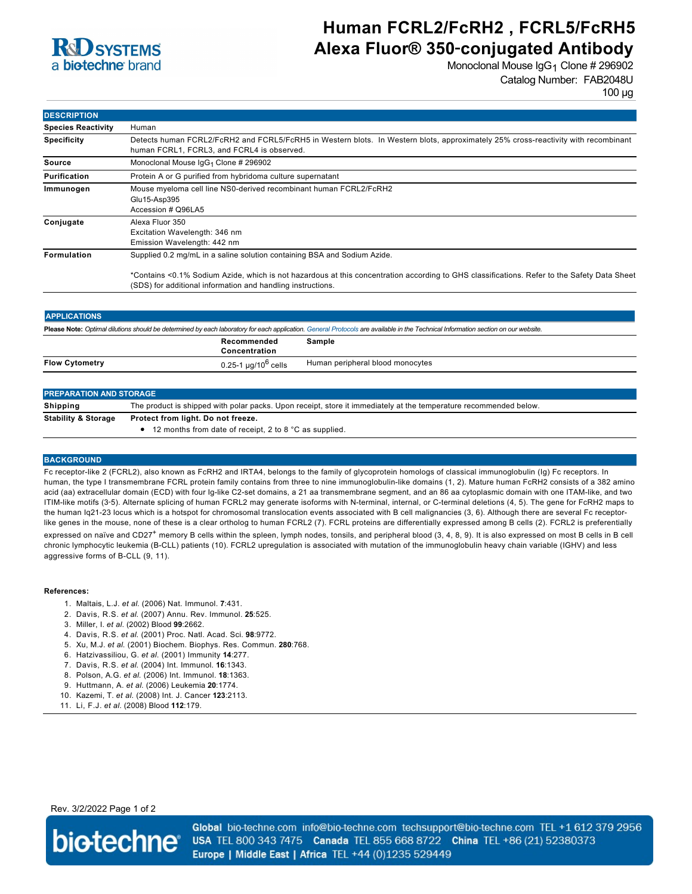

# **Human FCRL2/FcRH2 , FCRL5/FcRH5 Alexa Fluor® 350**‑**conjugated Antibody**

Monoclonal Mouse  $\lg G_1$  Clone # 296902 Catalog Number: FAB2048U

100 µg

| <b>DESCRIPTION</b>        |                                                                                                                                                                                                            |  |  |
|---------------------------|------------------------------------------------------------------------------------------------------------------------------------------------------------------------------------------------------------|--|--|
| <b>Species Reactivity</b> | Human                                                                                                                                                                                                      |  |  |
| <b>Specificity</b>        | Detects human FCRL2/FcRH2 and FCRL5/FcRH5 in Western blots. In Western blots, approximately 25% cross-reactivity with recombinant<br>human FCRL1, FCRL3, and FCRL4 is observed.                            |  |  |
| Source                    | Monoclonal Mouse IgG <sub>1</sub> Clone # 296902                                                                                                                                                           |  |  |
| <b>Purification</b>       | Protein A or G purified from hybridoma culture supernatant                                                                                                                                                 |  |  |
| Immunogen                 | Mouse myeloma cell line NS0-derived recombinant human FCRL2/FcRH2<br>Glu15-Asp395<br>Accession # Q96LA5                                                                                                    |  |  |
| Conjugate                 | Alexa Fluor 350<br>Excitation Wavelength: 346 nm<br>Emission Wavelength: 442 nm                                                                                                                            |  |  |
| <b>Formulation</b>        | Supplied 0.2 mg/mL in a saline solution containing BSA and Sodium Azide.                                                                                                                                   |  |  |
|                           | *Contains <0.1% Sodium Azide, which is not hazardous at this concentration according to GHS classifications. Refer to the Safety Data Sheet<br>(SDS) for additional information and handling instructions. |  |  |

| <b>APPLICATIONS</b>                                                                                                                                                               |                                      |                                  |  |  |
|-----------------------------------------------------------------------------------------------------------------------------------------------------------------------------------|--------------------------------------|----------------------------------|--|--|
| Please Note: Optimal dilutions should be determined by each laboratory for each application. General Protocols are available in the Technical Information section on our website. |                                      |                                  |  |  |
|                                                                                                                                                                                   | Recommended<br>Concentration         | Sample                           |  |  |
| <b>Flow Cytometry</b>                                                                                                                                                             | 0.25-1 $\mu$ g/10 <sup>6</sup> cells | Human peripheral blood monocytes |  |  |
|                                                                                                                                                                                   |                                      |                                  |  |  |

| <b>PREPARATION AND STORAGE</b> |                                                                                                                   |  |  |
|--------------------------------|-------------------------------------------------------------------------------------------------------------------|--|--|
| Shipping                       | The product is shipped with polar packs. Upon receipt, store it immediately at the temperature recommended below. |  |  |
| <b>Stability &amp; Storage</b> | Protect from light. Do not freeze.<br>• 12 months from date of receipt, 2 to 8 °C as supplied.                    |  |  |

### **BACKGROUND**

Fc receptor-like 2 (FCRL2), also known as FcRH2 and IRTA4, belongs to the family of glycoprotein homologs of classical immunoglobulin (Ig) Fc receptors. In human, the type I transmembrane FCRL protein family contains from three to nine immunoglobulin-like domains (1, 2). Mature human FcRH2 consists of a 382 amino acid (aa) extracellular domain (ECD) with four Ig-like C2-set domains, a 21 aa transmembrane segment, and an 86 aa cytoplasmic domain with one ITAM-like, and two ITIM-like motifs (3‑5). Alternate splicing of human FCRL2 may generate isoforms with N-terminal, internal, or C-terminal deletions (4, 5). The gene for FcRH2 maps to the human Iq21-23 locus which is a hotspot for chromosomal translocation events associated with B cell malignancies (3, 6). Although there are several Fc receptorlike genes in the mouse, none of these is a clear ortholog to human FCRL2 (7). FCRL proteins are differentially expressed among B cells (2). FCRL2 is preferentially expressed on naïve and CD27<sup>+</sup> memory B cells within the spleen, lymph nodes, tonsils, and peripheral blood (3, 4, 8, 9). It is also expressed on most B cells in B cell chronic lymphocytic leukemia (B-CLL) patients (10). FCRL2 upregulation is associated with mutation of the immunoglobulin heavy chain variable (IGHV) and less aggressive forms of B-CLL (9, 11).

#### **References:**

- 1. Maltais, L.J. *et al*. (2006) Nat. Immunol. **7**:431.
- 2. Davis, R.S. *et al*. (2007) Annu. Rev. Immunol. **25**:525.
- 3. Miller, I. *et al*. (2002) Blood **99**:2662.
- 4. Davis, R.S. *et al*. (2001) Proc. Natl. Acad. Sci. **98**:9772.
- 5. Xu, M.J. *et al*. (2001) Biochem. Biophys. Res. Commun. **280**:768.
- 6. Hatzivassiliou, G. *et al*. (2001) Immunity **14**:277.
- 7. Davis, R.S. *et al*. (2004) Int. Immunol. **16**:1343.
- 8. Polson, A.G. *et al*. (2006) Int. Immunol. **18**:1363.
- 9. Huttmann, A. *et al*. (2006) Leukemia **20**:1774.
- 10. Kazemi, T. *et al.* (2008) Int. J. Cancer **123**:2113.
- 11. Li, F.J. *et al*. (2008) Blood **112**:179.

Rev. 3/2/2022 Page 1 of 2



Global bio-techne.com info@bio-techne.com techsupport@bio-techne.com TEL +1 612 379 2956 USA TEL 800 343 7475 Canada TEL 855 668 8722 China TEL +86 (21) 52380373 Europe | Middle East | Africa TEL +44 (0)1235 529449